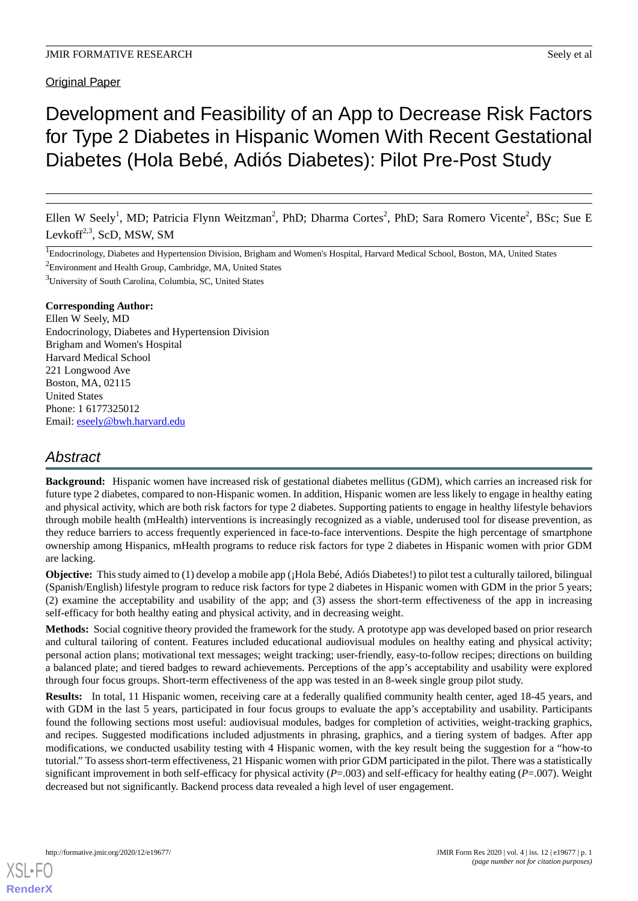# Original Paper

# Development and Feasibility of an App to Decrease Risk Factors for Type 2 Diabetes in Hispanic Women With Recent Gestational Diabetes (Hola Bebé, Adiós Diabetes): Pilot Pre-Post Study

Ellen W Seely<sup>1</sup>, MD; Patricia Flynn Weitzman<sup>2</sup>, PhD; Dharma Cortes<sup>2</sup>, PhD; Sara Romero Vicente<sup>2</sup>, BSc; Sue E Levkoff<sup>2,3</sup>, ScD, MSW, SM

<sup>1</sup>Endocrinology, Diabetes and Hypertension Division, Brigham and Women's Hospital, Harvard Medical School, Boston, MA, United States <sup>2</sup>Environment and Health Group, Cambridge, MA, United States

<sup>3</sup>University of South Carolina, Columbia, SC, United States

#### **Corresponding Author:**

Ellen W Seely, MD Endocrinology, Diabetes and Hypertension Division Brigham and Women's Hospital Harvard Medical School 221 Longwood Ave Boston, MA, 02115 United States Phone: 1 6177325012 Email: [eseely@bwh.harvard.edu](mailto:eseely@bwh.harvard.edu)

# *Abstract*

**Background:** Hispanic women have increased risk of gestational diabetes mellitus (GDM), which carries an increased risk for future type 2 diabetes, compared to non-Hispanic women. In addition, Hispanic women are less likely to engage in healthy eating and physical activity, which are both risk factors for type 2 diabetes. Supporting patients to engage in healthy lifestyle behaviors through mobile health (mHealth) interventions is increasingly recognized as a viable, underused tool for disease prevention, as they reduce barriers to access frequently experienced in face-to-face interventions. Despite the high percentage of smartphone ownership among Hispanics, mHealth programs to reduce risk factors for type 2 diabetes in Hispanic women with prior GDM are lacking.

**Objective:** This study aimed to (1) develop a mobile app (¡Hola Bebé, Adiós Diabetes!) to pilot test a culturally tailored, bilingual (Spanish/English) lifestyle program to reduce risk factors for type 2 diabetes in Hispanic women with GDM in the prior 5 years; (2) examine the acceptability and usability of the app; and (3) assess the short-term effectiveness of the app in increasing self-efficacy for both healthy eating and physical activity, and in decreasing weight.

**Methods:** Social cognitive theory provided the framework for the study. A prototype app was developed based on prior research and cultural tailoring of content. Features included educational audiovisual modules on healthy eating and physical activity; personal action plans; motivational text messages; weight tracking; user-friendly, easy-to-follow recipes; directions on building a balanced plate; and tiered badges to reward achievements. Perceptions of the app's acceptability and usability were explored through four focus groups. Short-term effectiveness of the app was tested in an 8-week single group pilot study.

**Results:** In total, 11 Hispanic women, receiving care at a federally qualified community health center, aged 18-45 years, and with GDM in the last 5 years, participated in four focus groups to evaluate the app's acceptability and usability. Participants found the following sections most useful: audiovisual modules, badges for completion of activities, weight-tracking graphics, and recipes. Suggested modifications included adjustments in phrasing, graphics, and a tiering system of badges. After app modifications, we conducted usability testing with 4 Hispanic women, with the key result being the suggestion for a "how-to tutorial." To assess short-term effectiveness, 21 Hispanic women with prior GDM participated in the pilot. There was a statistically significant improvement in both self-efficacy for physical activity (*P*=.003) and self-efficacy for healthy eating (*P*=.007). Weight decreased but not significantly. Backend process data revealed a high level of user engagement.

[XSL](http://www.w3.org/Style/XSL)•FO **[RenderX](http://www.renderx.com/)**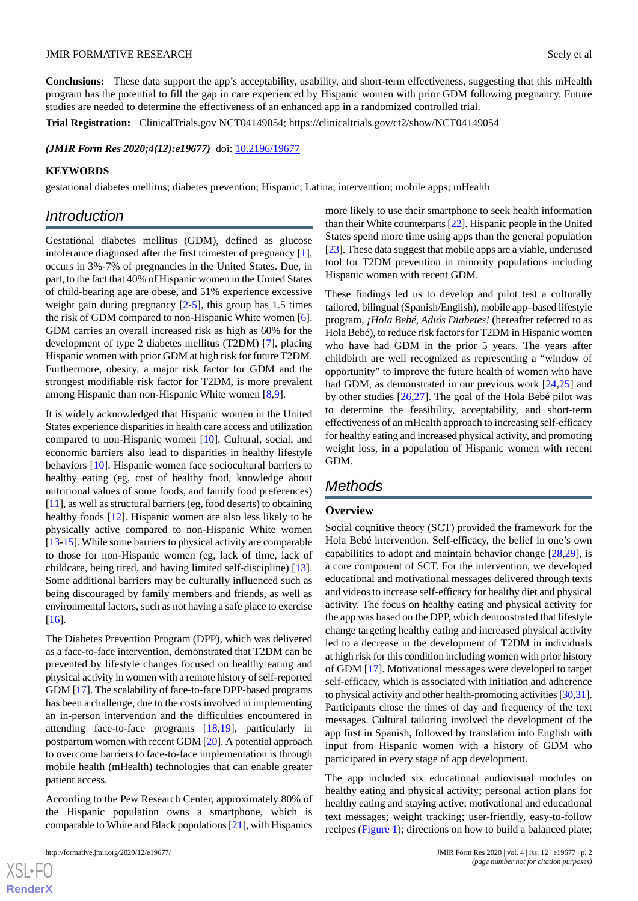**Conclusions:** These data support the app's acceptability, usability, and short-term effectiveness, suggesting that this mHealth program has the potential to fill the gap in care experienced by Hispanic women with prior GDM following pregnancy. Future studies are needed to determine the effectiveness of an enhanced app in a randomized controlled trial.

**Trial Registration:** ClinicalTrials.gov NCT04149054; https://clinicaltrials.gov/ct2/show/NCT04149054

*(JMIR Form Res 2020;4(12):e19677)* doi:  $10.2196/19677$ 

#### **KEYWORDS**

gestational diabetes mellitus; diabetes prevention; Hispanic; Latina; intervention; mobile apps; mHealth

# *Introduction*

Gestational diabetes mellitus (GDM), defined as glucose intolerance diagnosed after the first trimester of pregnancy [[1\]](#page-5-0), occurs in 3%-7% of pregnancies in the United States. Due, in part, to the fact that 40% of Hispanic women in the United States of child-bearing age are obese, and 51% experience excessive weight gain during pregnancy  $[2-5]$  $[2-5]$  $[2-5]$  $[2-5]$ , this group has 1.5 times the risk of GDM compared to non-Hispanic White women [[6\]](#page-5-3). GDM carries an overall increased risk as high as 60% for the development of type 2 diabetes mellitus (T2DM) [\[7](#page-5-4)], placing Hispanic women with prior GDM at high risk for future T2DM. Furthermore, obesity, a major risk factor for GDM and the strongest modifiable risk factor for T2DM, is more prevalent among Hispanic than non-Hispanic White women [\[8,](#page-5-5)[9](#page-5-6)].

It is widely acknowledged that Hispanic women in the United States experience disparities in health care access and utilization compared to non-Hispanic women [[10\]](#page-5-7). Cultural, social, and economic barriers also lead to disparities in healthy lifestyle behaviors [\[10](#page-5-7)]. Hispanic women face sociocultural barriers to healthy eating (eg, cost of healthy food, knowledge about nutritional values of some foods, and family food preferences) [[11\]](#page-6-0), as well as structural barriers (eg, food deserts) to obtaining healthy foods [[12\]](#page-6-1). Hispanic women are also less likely to be physically active compared to non-Hispanic White women [[13-](#page-6-2)[15\]](#page-6-3). While some barriers to physical activity are comparable to those for non-Hispanic women (eg, lack of time, lack of childcare, being tired, and having limited self-discipline) [[13\]](#page-6-2). Some additional barriers may be culturally influenced such as being discouraged by family members and friends, as well as environmental factors, such as not having a safe place to exercise [[16\]](#page-6-4).

The Diabetes Prevention Program (DPP), which was delivered as a face-to-face intervention, demonstrated that T2DM can be prevented by lifestyle changes focused on healthy eating and physical activity in women with a remote history of self-reported GDM [\[17\]](#page-6-5). The scalability of face-to-face DPP-based programs has been a challenge, due to the costs involved in implementing an in-person intervention and the difficulties encountered in attending face-to-face programs [\[18](#page-6-6),[19\]](#page-6-7), particularly in postpartum women with recent GDM [\[20\]](#page-6-8). A potential approach to overcome barriers to face-to-face implementation is through mobile health (mHealth) technologies that can enable greater patient access.

According to the Pew Research Center, approximately 80% of the Hispanic population owns a smartphone, which is comparable to White and Black populations [\[21](#page-6-9)], with Hispanics

more likely to use their smartphone to seek health information than their White counterparts [\[22\]](#page-6-10). Hispanic people in the United States spend more time using apps than the general population [[23\]](#page-6-11). These data suggest that mobile apps are a viable, underused tool for T2DM prevention in minority populations including Hispanic women with recent GDM.

These findings led us to develop and pilot test a culturally tailored, bilingual (Spanish/English), mobile app–based lifestyle program, *¡Hola Bebé, Adiós Diabetes!* (hereafter referred to as Hola Bebé), to reduce risk factors for T2DM in Hispanic women who have had GDM in the prior 5 years. The years after childbirth are well recognized as representing a "window of opportunity" to improve the future health of women who have had GDM, as demonstrated in our previous work [[24,](#page-6-12)[25\]](#page-6-13) and by other studies [\[26](#page-6-14)[,27](#page-6-15)]. The goal of the Hola Bebé pilot was to determine the feasibility, acceptability, and short-term effectiveness of an mHealth approach to increasing self-efficacy for healthy eating and increased physical activity, and promoting weight loss, in a population of Hispanic women with recent GDM.

# *Methods*

# **Overview**

Social cognitive theory (SCT) provided the framework for the Hola Bebé intervention. Self-efficacy, the belief in one's own capabilities to adopt and maintain behavior change [[28](#page-6-16)[,29](#page-6-17)], is a core component of SCT. For the intervention, we developed educational and motivational messages delivered through texts and videos to increase self-efficacy for healthy diet and physical activity. The focus on healthy eating and physical activity for the app was based on the DPP, which demonstrated that lifestyle change targeting healthy eating and increased physical activity led to a decrease in the development of T2DM in individuals at high risk for this condition including women with prior history of GDM [\[17](#page-6-5)]. Motivational messages were developed to target self-efficacy, which is associated with initiation and adherence to physical activity and other health-promoting activities [\[30](#page-6-18)[,31](#page-6-19)]. Participants chose the times of day and frequency of the text messages. Cultural tailoring involved the development of the app first in Spanish, followed by translation into English with input from Hispanic women with a history of GDM who participated in every stage of app development.

The app included six educational audiovisual modules on healthy eating and physical activity; personal action plans for healthy eating and staying active; motivational and educational text messages; weight tracking; user-friendly, easy-to-follow recipes ([Figure 1](#page-2-0)); directions on how to build a balanced plate;

 $XS$  $\cdot$ FC **[RenderX](http://www.renderx.com/)**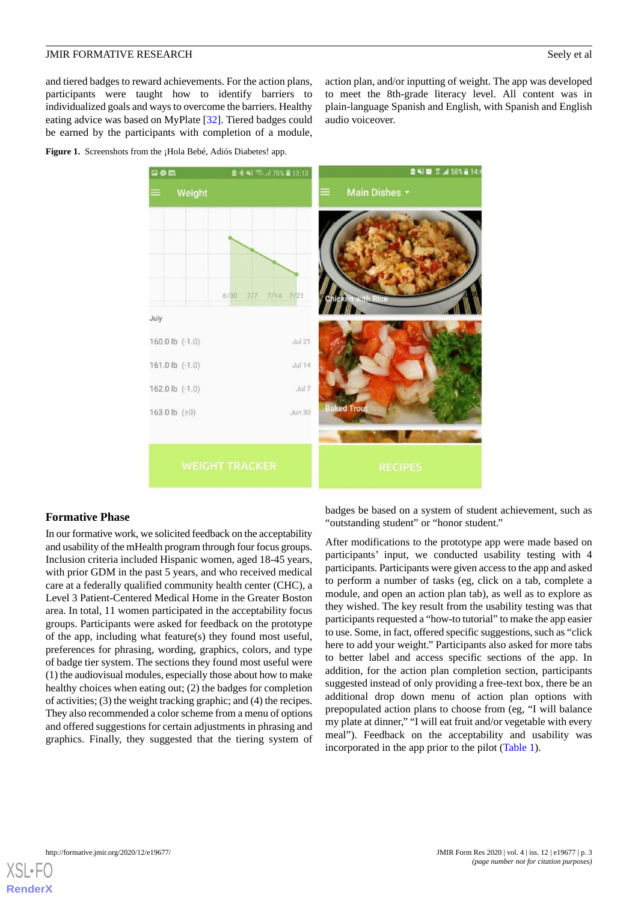and tiered badges to reward achievements. For the action plans, participants were taught how to identify barriers to individualized goals and ways to overcome the barriers. Healthy eating advice was based on MyPlate [[32\]](#page-6-20). Tiered badges could be earned by the participants with completion of a module,

<span id="page-2-0"></span>**Figure 1.** Screenshots from the ¡Hola Bebé, Adiós Diabetes! app.

图 ¥ 1 (图 常 .dl 58% ■ 14 图 米 41 号, 11 70% ■ 13:13 Weight **Main Dishes** 7/7 7/14 7/21 July 160.0 lb (-1.0) **Jul 21** 161.0 lb (-1.0)  $hil14$ 162.0 lb (-1.0) Jul 7 163.0 lb  $(\pm 0)$ Jun 30

audio voiceover.

#### **Formative Phase**

In our formative work, we solicited feedback on the acceptability and usability of the mHealth program through four focus groups. Inclusion criteria included Hispanic women, aged 18-45 years, with prior GDM in the past 5 years, and who received medical care at a federally qualified community health center (CHC), a Level 3 Patient-Centered Medical Home in the Greater Boston area. In total, 11 women participated in the acceptability focus groups. Participants were asked for feedback on the prototype of the app, including what feature(s) they found most useful, preferences for phrasing, wording, graphics, colors, and type of badge tier system. The sections they found most useful were (1) the audiovisual modules, especially those about how to make healthy choices when eating out; (2) the badges for completion of activities; (3) the weight tracking graphic; and (4) the recipes. They also recommended a color scheme from a menu of options and offered suggestions for certain adjustments in phrasing and graphics. Finally, they suggested that the tiering system of

badges be based on a system of student achievement, such as "outstanding student" or "honor student."

action plan, and/or inputting of weight. The app was developed to meet the 8th-grade literacy level. All content was in plain-language Spanish and English, with Spanish and English

After modifications to the prototype app were made based on participants' input, we conducted usability testing with 4 participants. Participants were given access to the app and asked to perform a number of tasks (eg, click on a tab, complete a module, and open an action plan tab), as well as to explore as they wished. The key result from the usability testing was that participants requested a "how-to tutorial" to make the app easier to use. Some, in fact, offered specific suggestions, such as "click here to add your weight." Participants also asked for more tabs to better label and access specific sections of the app. In addition, for the action plan completion section, participants suggested instead of only providing a free-text box, there be an additional drop down menu of action plan options with prepopulated action plans to choose from (eg, "I will balance my plate at dinner," "I will eat fruit and/or vegetable with every meal"). Feedback on the acceptability and usability was incorporated in the app prior to the pilot ([Table 1](#page-3-0)).

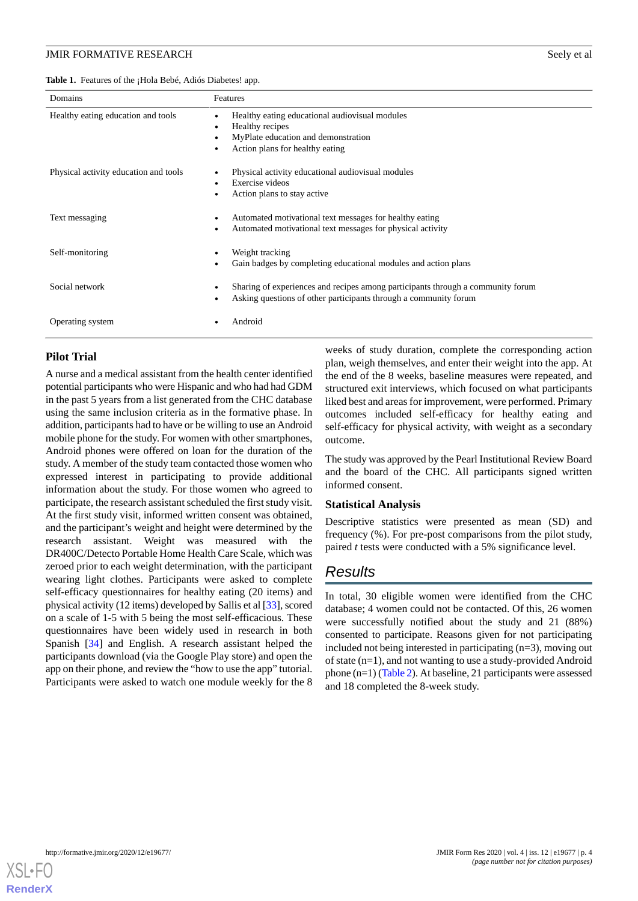<span id="page-3-0"></span>**Table 1.** Features of the ¡Hola Bebé, Adiós Diabetes! app.

| Domains                               | Features                                                                                                                                            |
|---------------------------------------|-----------------------------------------------------------------------------------------------------------------------------------------------------|
| Healthy eating education and tools    | Healthy eating educational audiovisual modules<br>Healthy recipes<br>MyPlate education and demonstration<br>Action plans for healthy eating         |
| Physical activity education and tools | Physical activity educational audiovisual modules<br>Exercise videos<br>Action plans to stay active                                                 |
| Text messaging                        | Automated motivational text messages for healthy eating<br>Automated motivational text messages for physical activity                               |
| Self-monitoring                       | Weight tracking<br>Gain badges by completing educational modules and action plans                                                                   |
| Social network                        | Sharing of experiences and recipes among participants through a community forum<br>Asking questions of other participants through a community forum |
| Operating system                      | Android                                                                                                                                             |

#### **Pilot Trial**

A nurse and a medical assistant from the health center identified potential participants who were Hispanic and who had had GDM in the past 5 years from a list generated from the CHC database using the same inclusion criteria as in the formative phase. In addition, participants had to have or be willing to use an Android mobile phone for the study. For women with other smartphones, Android phones were offered on loan for the duration of the study. A member of the study team contacted those women who expressed interest in participating to provide additional information about the study. For those women who agreed to participate, the research assistant scheduled the first study visit. At the first study visit, informed written consent was obtained, and the participant's weight and height were determined by the research assistant. Weight was measured with the DR400C/Detecto Portable Home Health Care Scale, which was zeroed prior to each weight determination, with the participant wearing light clothes. Participants were asked to complete self-efficacy questionnaires for healthy eating (20 items) and physical activity (12 items) developed by Sallis et al [\[33](#page-6-21)], scored on a scale of 1-5 with 5 being the most self-efficacious. These questionnaires have been widely used in research in both Spanish [\[34](#page-6-22)] and English. A research assistant helped the participants download (via the Google Play store) and open the app on their phone, and review the "how to use the app" tutorial. Participants were asked to watch one module weekly for the 8

weeks of study duration, complete the corresponding action plan, weigh themselves, and enter their weight into the app. At the end of the 8 weeks, baseline measures were repeated, and structured exit interviews, which focused on what participants liked best and areas for improvement, were performed. Primary outcomes included self-efficacy for healthy eating and self-efficacy for physical activity, with weight as a secondary outcome.

The study was approved by the Pearl Institutional Review Board and the board of the CHC. All participants signed written informed consent.

#### **Statistical Analysis**

Descriptive statistics were presented as mean (SD) and frequency (%). For pre-post comparisons from the pilot study, paired *t* tests were conducted with a 5% significance level.

# *Results*

In total, 30 eligible women were identified from the CHC database; 4 women could not be contacted. Of this, 26 women were successfully notified about the study and 21 (88%) consented to participate. Reasons given for not participating included not being interested in participating (n=3), moving out of state (n=1), and not wanting to use a study-provided Android phone (n=1) [\(Table 2](#page-4-0)). At baseline, 21 participants were assessed and 18 completed the 8-week study.

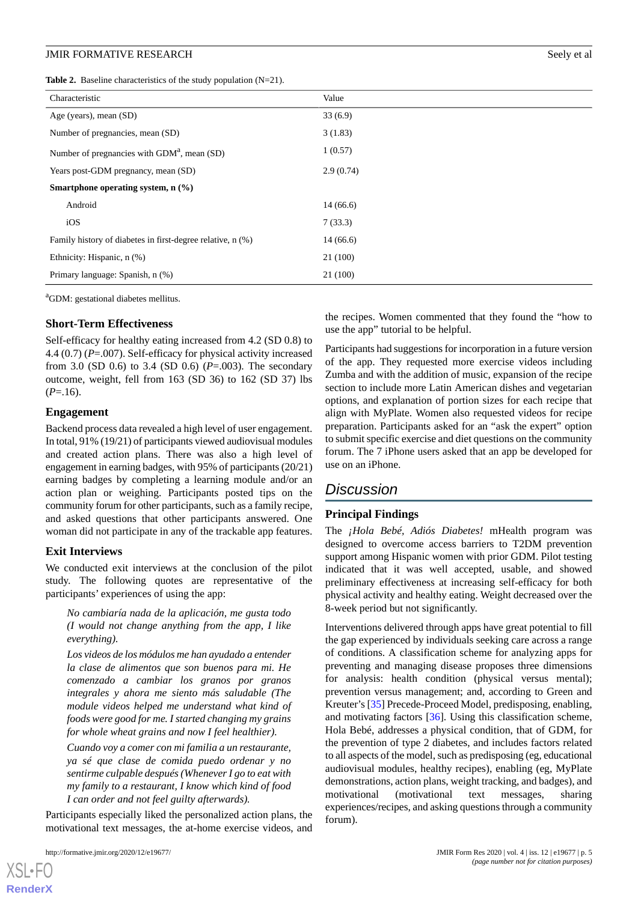<span id="page-4-0"></span>**Table 2.** Baseline characteristics of the study population (N=21).

| Characteristic                                             | Value     |  |
|------------------------------------------------------------|-----------|--|
| Age (years), mean (SD)                                     | 33(6.9)   |  |
| Number of pregnancies, mean (SD)                           | 3(1.83)   |  |
| Number of pregnancies with GDM <sup>a</sup> , mean (SD)    | 1(0.57)   |  |
| Years post-GDM pregnancy, mean (SD)                        | 2.9(0.74) |  |
| Smartphone operating system, $n$ $(\%)$                    |           |  |
| Android                                                    | 14(66.6)  |  |
| iOS                                                        | 7(33.3)   |  |
| Family history of diabetes in first-degree relative, n (%) | 14(66.6)  |  |
| Ethnicity: Hispanic, n (%)                                 | 21 (100)  |  |
| Primary language: Spanish, n (%)                           | 21 (100)  |  |

<sup>a</sup>GDM: gestational diabetes mellitus.

#### **Short-Term Effectiveness**

Self-efficacy for healthy eating increased from 4.2 (SD 0.8) to 4.4 (0.7) (*P*=.007). Self-efficacy for physical activity increased from 3.0 (SD 0.6) to 3.4 (SD 0.6) (*P*=.003). The secondary outcome, weight, fell from 163 (SD 36) to 162 (SD 37) lbs  $(P=.16)$ .

#### **Engagement**

Backend process data revealed a high level of user engagement. In total, 91% (19/21) of participants viewed audiovisual modules and created action plans. There was also a high level of engagement in earning badges, with 95% of participants (20/21) earning badges by completing a learning module and/or an action plan or weighing. Participants posted tips on the community forum for other participants, such as a family recipe, and asked questions that other participants answered. One woman did not participate in any of the trackable app features.

#### **Exit Interviews**

We conducted exit interviews at the conclusion of the pilot study. The following quotes are representative of the participants' experiences of using the app:

*No cambiaría nada de la aplicación, me gusta todo (I would not change anything from the app, I like everything).*

*Los videos de los módulos me han ayudado a entender la clase de alimentos que son buenos para mi. He comenzado a cambiar los granos por granos integrales y ahora me siento más saludable (The module videos helped me understand what kind of foods were good for me. I started changing my grains for whole wheat grains and now I feel healthier).*

*Cuando voy a comer con mi familia a un restaurante, ya sé que clase de comida puedo ordenar y no sentirme culpable después (Whenever I go to eat with my family to a restaurant, I know which kind of food I can order and not feel guilty afterwards).*

Participants especially liked the personalized action plans, the motivational text messages, the at-home exercise videos, and

[XSL](http://www.w3.org/Style/XSL)•FO **[RenderX](http://www.renderx.com/)**

the recipes. Women commented that they found the "how to use the app" tutorial to be helpful.

Participants had suggestions for incorporation in a future version of the app. They requested more exercise videos including Zumba and with the addition of music, expansion of the recipe section to include more Latin American dishes and vegetarian options, and explanation of portion sizes for each recipe that align with MyPlate. Women also requested videos for recipe preparation. Participants asked for an "ask the expert" option to submit specific exercise and diet questions on the community forum. The 7 iPhone users asked that an app be developed for use on an iPhone.

# *Discussion*

#### **Principal Findings**

The *¡Hola Bebé, Adiós Diabetes!* mHealth program was designed to overcome access barriers to T2DM prevention support among Hispanic women with prior GDM. Pilot testing indicated that it was well accepted, usable, and showed preliminary effectiveness at increasing self-efficacy for both physical activity and healthy eating. Weight decreased over the 8-week period but not significantly.

Interventions delivered through apps have great potential to fill the gap experienced by individuals seeking care across a range of conditions. A classification scheme for analyzing apps for preventing and managing disease proposes three dimensions for analysis: health condition (physical versus mental); prevention versus management; and, according to Green and Kreuter's [[35\]](#page-7-0) Precede-Proceed Model, predisposing, enabling, and motivating factors [[36\]](#page-7-1). Using this classification scheme, Hola Bebé, addresses a physical condition, that of GDM, for the prevention of type 2 diabetes, and includes factors related to all aspects of the model, such as predisposing (eg, educational audiovisual modules, healthy recipes), enabling (eg, MyPlate demonstrations, action plans, weight tracking, and badges), and motivational (motivational text messages, sharing experiences/recipes, and asking questions through a community forum).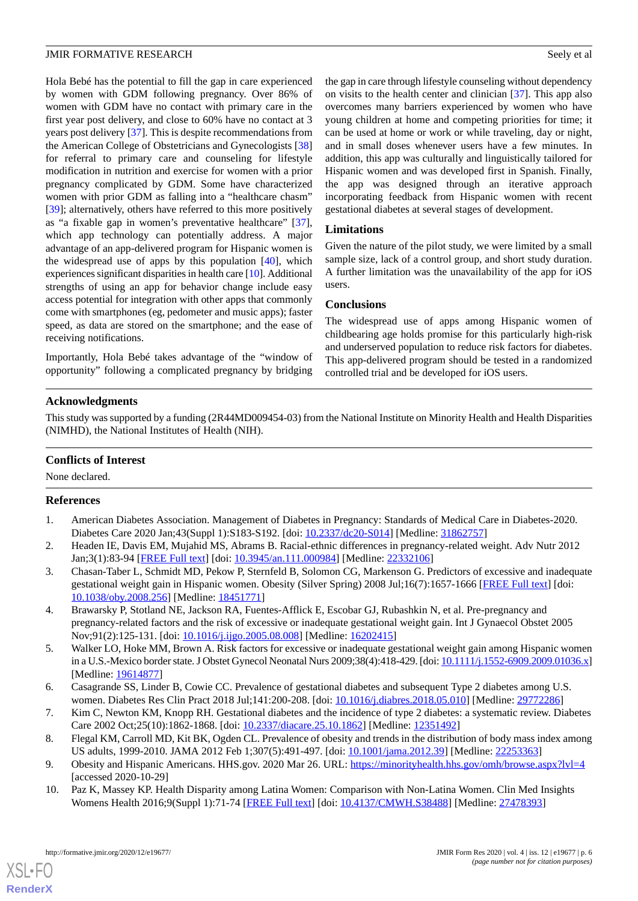Hola Bebé has the potential to fill the gap in care experienced by women with GDM following pregnancy. Over 86% of women with GDM have no contact with primary care in the first year post delivery, and close to 60% have no contact at 3 years post delivery [\[37](#page-7-2)]. This is despite recommendations from the American College of Obstetricians and Gynecologists [\[38](#page-7-3)] for referral to primary care and counseling for lifestyle modification in nutrition and exercise for women with a prior pregnancy complicated by GDM. Some have characterized women with prior GDM as falling into a "healthcare chasm" [[39\]](#page-7-4); alternatively, others have referred to this more positively as "a fixable gap in women's preventative healthcare" [[37\]](#page-7-2), which app technology can potentially address. A major advantage of an app-delivered program for Hispanic women is the widespread use of apps by this population [[40\]](#page-7-5), which experiences significant disparities in health care [\[10](#page-5-7)]. Additional strengths of using an app for behavior change include easy access potential for integration with other apps that commonly come with smartphones (eg, pedometer and music apps); faster speed, as data are stored on the smartphone; and the ease of receiving notifications.

Importantly, Hola Bebé takes advantage of the "window of opportunity" following a complicated pregnancy by bridging

the gap in care through lifestyle counseling without dependency on visits to the health center and clinician [[37\]](#page-7-2). This app also overcomes many barriers experienced by women who have young children at home and competing priorities for time; it can be used at home or work or while traveling, day or night, and in small doses whenever users have a few minutes. In addition, this app was culturally and linguistically tailored for Hispanic women and was developed first in Spanish. Finally, the app was designed through an iterative approach incorporating feedback from Hispanic women with recent gestational diabetes at several stages of development.

# **Limitations**

Given the nature of the pilot study, we were limited by a small sample size, lack of a control group, and short study duration. A further limitation was the unavailability of the app for iOS users.

# **Conclusions**

The widespread use of apps among Hispanic women of childbearing age holds promise for this particularly high-risk and underserved population to reduce risk factors for diabetes. This app-delivered program should be tested in a randomized controlled trial and be developed for iOS users.

# **Acknowledgments**

This study was supported by a funding (2R44MD009454-03) from the National Institute on Minority Health and Health Disparities (NIMHD), the National Institutes of Health (NIH).

# <span id="page-5-0"></span>**Conflicts of Interest**

None declared.

# <span id="page-5-1"></span>**References**

- 1. American Diabetes Association. Management of Diabetes in Pregnancy: Standards of Medical Care in Diabetes-2020. Diabetes Care 2020 Jan;43(Suppl 1):S183-S192. [doi: [10.2337/dc20-S014\]](http://dx.doi.org/10.2337/dc20-S014) [Medline: [31862757\]](http://www.ncbi.nlm.nih.gov/entrez/query.fcgi?cmd=Retrieve&db=PubMed&list_uids=31862757&dopt=Abstract)
- 2. Headen IE, Davis EM, Mujahid MS, Abrams B. Racial-ethnic differences in pregnancy-related weight. Adv Nutr 2012 Jan;3(1):83-94 [\[FREE Full text\]](http://europepmc.org/abstract/MED/22332106) [doi: [10.3945/an.111.000984\]](http://dx.doi.org/10.3945/an.111.000984) [Medline: [22332106](http://www.ncbi.nlm.nih.gov/entrez/query.fcgi?cmd=Retrieve&db=PubMed&list_uids=22332106&dopt=Abstract)]
- <span id="page-5-2"></span>3. Chasan-Taber L, Schmidt MD, Pekow P, Sternfeld B, Solomon CG, Markenson G. Predictors of excessive and inadequate gestational weight gain in Hispanic women. Obesity (Silver Spring) 2008 Jul;16(7):1657-1666 [[FREE Full text](https://doi.org/10.1038/oby.2008.256)] [doi: [10.1038/oby.2008.256](http://dx.doi.org/10.1038/oby.2008.256)] [Medline: [18451771\]](http://www.ncbi.nlm.nih.gov/entrez/query.fcgi?cmd=Retrieve&db=PubMed&list_uids=18451771&dopt=Abstract)
- <span id="page-5-3"></span>4. Brawarsky P, Stotland NE, Jackson RA, Fuentes-Afflick E, Escobar GJ, Rubashkin N, et al. Pre-pregnancy and pregnancy-related factors and the risk of excessive or inadequate gestational weight gain. Int J Gynaecol Obstet 2005 Nov;91(2):125-131. [doi: [10.1016/j.ijgo.2005.08.008](http://dx.doi.org/10.1016/j.ijgo.2005.08.008)] [Medline: [16202415\]](http://www.ncbi.nlm.nih.gov/entrez/query.fcgi?cmd=Retrieve&db=PubMed&list_uids=16202415&dopt=Abstract)
- <span id="page-5-5"></span><span id="page-5-4"></span>5. Walker LO, Hoke MM, Brown A. Risk factors for excessive or inadequate gestational weight gain among Hispanic women in a U.S.-Mexico border state. J Obstet Gynecol Neonatal Nurs 2009;38(4):418-429. [doi: [10.1111/j.1552-6909.2009.01036.x\]](http://dx.doi.org/10.1111/j.1552-6909.2009.01036.x) [Medline: [19614877](http://www.ncbi.nlm.nih.gov/entrez/query.fcgi?cmd=Retrieve&db=PubMed&list_uids=19614877&dopt=Abstract)]
- <span id="page-5-6"></span>6. Casagrande SS, Linder B, Cowie CC. Prevalence of gestational diabetes and subsequent Type 2 diabetes among U.S. women. Diabetes Res Clin Pract 2018 Jul;141:200-208. [doi: [10.1016/j.diabres.2018.05.010](http://dx.doi.org/10.1016/j.diabres.2018.05.010)] [Medline: [29772286\]](http://www.ncbi.nlm.nih.gov/entrez/query.fcgi?cmd=Retrieve&db=PubMed&list_uids=29772286&dopt=Abstract)
- <span id="page-5-7"></span>7. Kim C, Newton KM, Knopp RH. Gestational diabetes and the incidence of type 2 diabetes: a systematic review. Diabetes Care 2002 Oct;25(10):1862-1868. [doi: [10.2337/diacare.25.10.1862](http://dx.doi.org/10.2337/diacare.25.10.1862)] [Medline: [12351492](http://www.ncbi.nlm.nih.gov/entrez/query.fcgi?cmd=Retrieve&db=PubMed&list_uids=12351492&dopt=Abstract)]
- 8. Flegal KM, Carroll MD, Kit BK, Ogden CL. Prevalence of obesity and trends in the distribution of body mass index among US adults, 1999-2010. JAMA 2012 Feb 1;307(5):491-497. [doi: [10.1001/jama.2012.39\]](http://dx.doi.org/10.1001/jama.2012.39) [Medline: [22253363\]](http://www.ncbi.nlm.nih.gov/entrez/query.fcgi?cmd=Retrieve&db=PubMed&list_uids=22253363&dopt=Abstract)
- 9. Obesity and Hispanic Americans. HHS.gov. 2020 Mar 26. URL:<https://minorityhealth.hhs.gov/omh/browse.aspx?lvl=4> [accessed 2020-10-29]
- 10. Paz K, Massey KP. Health Disparity among Latina Women: Comparison with Non-Latina Women. Clin Med Insights Womens Health 2016;9(Suppl 1):71-74 [\[FREE Full text\]](http://europepmc.org/abstract/MED/27478393) [doi: [10.4137/CMWH.S38488](http://dx.doi.org/10.4137/CMWH.S38488)] [Medline: [27478393](http://www.ncbi.nlm.nih.gov/entrez/query.fcgi?cmd=Retrieve&db=PubMed&list_uids=27478393&dopt=Abstract)]

[XSL](http://www.w3.org/Style/XSL)•FO **[RenderX](http://www.renderx.com/)**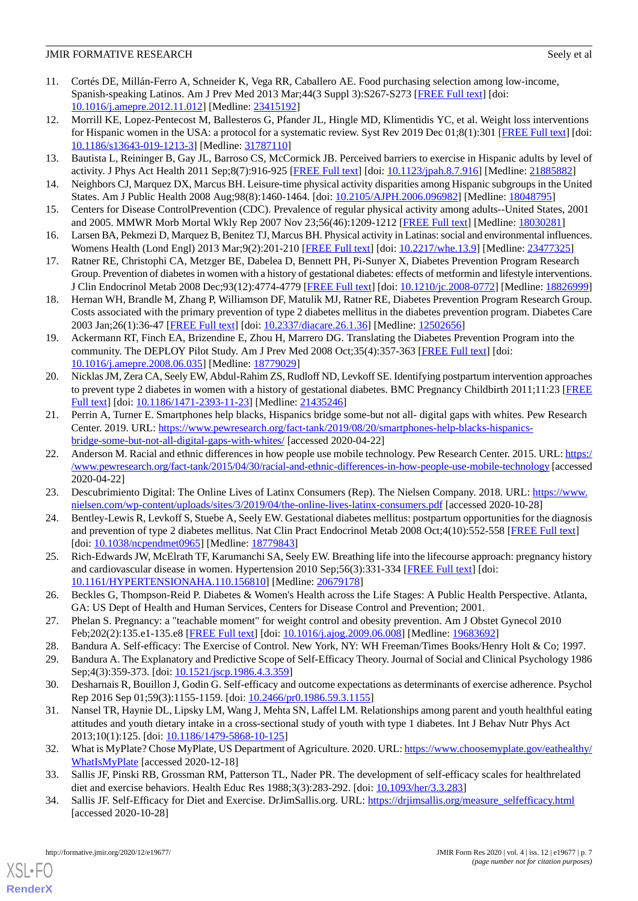- <span id="page-6-0"></span>11. Cortés DE, Millán-Ferro A, Schneider K, Vega RR, Caballero AE. Food purchasing selection among low-income, Spanish-speaking Latinos. Am J Prev Med 2013 Mar;44(3 Suppl 3):S267-S273 [[FREE Full text](https://linkinghub.elsevier.com/retrieve/pii/S0749-3797(12)00875-6)] [doi: [10.1016/j.amepre.2012.11.012](http://dx.doi.org/10.1016/j.amepre.2012.11.012)] [Medline: [23415192\]](http://www.ncbi.nlm.nih.gov/entrez/query.fcgi?cmd=Retrieve&db=PubMed&list_uids=23415192&dopt=Abstract)
- <span id="page-6-1"></span>12. Morrill KE, Lopez-Pentecost M, Ballesteros G, Pfander JL, Hingle MD, Klimentidis YC, et al. Weight loss interventions for Hispanic women in the USA: a protocol for a systematic review. Syst Rev 2019 Dec 01;8(1):301 [\[FREE Full text](https://doi-org.pallas2.tcl.sc.edu/10.1186/s13643-019-1213-3)] [doi: [10.1186/s13643-019-1213-3\]](http://dx.doi.org/10.1186/s13643-019-1213-3) [Medline: [31787110](http://www.ncbi.nlm.nih.gov/entrez/query.fcgi?cmd=Retrieve&db=PubMed&list_uids=31787110&dopt=Abstract)]
- <span id="page-6-2"></span>13. Bautista L, Reininger B, Gay JL, Barroso CS, McCormick JB. Perceived barriers to exercise in Hispanic adults by level of activity. J Phys Act Health 2011 Sep;8(7):916-925 [[FREE Full text](http://europepmc.org/abstract/MED/21885882)] [doi: [10.1123/jpah.8.7.916](http://dx.doi.org/10.1123/jpah.8.7.916)] [Medline: [21885882](http://www.ncbi.nlm.nih.gov/entrez/query.fcgi?cmd=Retrieve&db=PubMed&list_uids=21885882&dopt=Abstract)]
- <span id="page-6-3"></span>14. Neighbors CJ, Marquez DX, Marcus BH. Leisure-time physical activity disparities among Hispanic subgroups in the United States. Am J Public Health 2008 Aug;98(8):1460-1464. [doi: [10.2105/AJPH.2006.096982](http://dx.doi.org/10.2105/AJPH.2006.096982)] [Medline: [18048795](http://www.ncbi.nlm.nih.gov/entrez/query.fcgi?cmd=Retrieve&db=PubMed&list_uids=18048795&dopt=Abstract)]
- <span id="page-6-4"></span>15. Centers for Disease ControlPrevention (CDC). Prevalence of regular physical activity among adults--United States, 2001 and 2005. MMWR Morb Mortal Wkly Rep 2007 Nov 23;56(46):1209-1212 [\[FREE Full text](https://www.cdc.gov/mmwr/preview/mmwrhtml/mm5646a1.htm)] [Medline: [18030281](http://www.ncbi.nlm.nih.gov/entrez/query.fcgi?cmd=Retrieve&db=PubMed&list_uids=18030281&dopt=Abstract)]
- <span id="page-6-5"></span>16. Larsen BA, Pekmezi D, Marquez B, Benitez TJ, Marcus BH. Physical activity in Latinas: social and environmental influences. Womens Health (Lond Engl) 2013 Mar;9(2):201-210 [\[FREE Full text\]](http://europepmc.org/abstract/MED/23477325) [doi: [10.2217/whe.13.9\]](http://dx.doi.org/10.2217/whe.13.9) [Medline: [23477325](http://www.ncbi.nlm.nih.gov/entrez/query.fcgi?cmd=Retrieve&db=PubMed&list_uids=23477325&dopt=Abstract)]
- <span id="page-6-6"></span>17. Ratner RE, Christophi CA, Metzger BE, Dabelea D, Bennett PH, Pi-Sunyer X, Diabetes Prevention Program Research Group. Prevention of diabetes in women with a history of gestational diabetes: effects of metformin and lifestyle interventions. J Clin Endocrinol Metab 2008 Dec;93(12):4774-4779 [[FREE Full text\]](http://europepmc.org/abstract/MED/18826999) [doi: [10.1210/jc.2008-0772\]](http://dx.doi.org/10.1210/jc.2008-0772) [Medline: [18826999](http://www.ncbi.nlm.nih.gov/entrez/query.fcgi?cmd=Retrieve&db=PubMed&list_uids=18826999&dopt=Abstract)]
- <span id="page-6-7"></span>18. Hernan WH, Brandle M, Zhang P, Williamson DF, Matulik MJ, Ratner RE, Diabetes Prevention Program Research Group. Costs associated with the primary prevention of type 2 diabetes mellitus in the diabetes prevention program. Diabetes Care 2003 Jan;26(1):36-47 [[FREE Full text](http://europepmc.org/abstract/MED/12502656)] [doi: [10.2337/diacare.26.1.36](http://dx.doi.org/10.2337/diacare.26.1.36)] [Medline: [12502656\]](http://www.ncbi.nlm.nih.gov/entrez/query.fcgi?cmd=Retrieve&db=PubMed&list_uids=12502656&dopt=Abstract)
- <span id="page-6-8"></span>19. Ackermann RT, Finch EA, Brizendine E, Zhou H, Marrero DG. Translating the Diabetes Prevention Program into the community. The DEPLOY Pilot Study. Am J Prev Med 2008 Oct;35(4):357-363 [[FREE Full text](http://europepmc.org/abstract/MED/18779029)] [doi: [10.1016/j.amepre.2008.06.035](http://dx.doi.org/10.1016/j.amepre.2008.06.035)] [Medline: [18779029\]](http://www.ncbi.nlm.nih.gov/entrez/query.fcgi?cmd=Retrieve&db=PubMed&list_uids=18779029&dopt=Abstract)
- <span id="page-6-9"></span>20. Nicklas JM, Zera CA, Seely EW, Abdul-Rahim ZS, Rudloff ND, Levkoff SE. Identifying postpartum intervention approaches to prevent type 2 diabetes in women with a history of gestational diabetes. BMC Pregnancy Childbirth 2011;11:23 [\[FREE](http://www.biomedcentral.com/1471-2393/11/23) [Full text\]](http://www.biomedcentral.com/1471-2393/11/23) [doi: [10.1186/1471-2393-11-23](http://dx.doi.org/10.1186/1471-2393-11-23)] [Medline: [21435246](http://www.ncbi.nlm.nih.gov/entrez/query.fcgi?cmd=Retrieve&db=PubMed&list_uids=21435246&dopt=Abstract)]
- <span id="page-6-10"></span>21. Perrin A, Turner E. Smartphones help blacks, Hispanics bridge some-but not all- digital gaps with whites. Pew Research Center. 2019. URL: [https://www.pewresearch.org/fact-tank/2019/08/20/smartphones-help-blacks-hispanics](https://www.pewresearch.org/fact-tank/2019/08/20/smartphones-help-blacks-hispanics-bridge-some-but-not-all-digital-gaps-with-whites/)[bridge-some-but-not-all-digital-gaps-with-whites/](https://www.pewresearch.org/fact-tank/2019/08/20/smartphones-help-blacks-hispanics-bridge-some-but-not-all-digital-gaps-with-whites/) [accessed 2020-04-22]
- <span id="page-6-12"></span><span id="page-6-11"></span>22. Anderson M. Racial and ethnic differences in how people use mobile technology. Pew Research Center. 2015. URL: [https:/](https://www.pewresearch.org/fact-tank/2015/04/30/racial-and-ethnic-differences-in-how-people-use-mobile-technology) [/www.pewresearch.org/fact-tank/2015/04/30/racial-and-ethnic-differences-in-how-people-use-mobile-technology](https://www.pewresearch.org/fact-tank/2015/04/30/racial-and-ethnic-differences-in-how-people-use-mobile-technology) [accessed 2020-04-22]
- <span id="page-6-13"></span>23. Descubrimiento Digital: The Online Lives of Latinx Consumers (Rep). The Nielsen Company. 2018. URL: [https://www.](https://www.nielsen.com/wp-content/uploads/sites/3/2019/04/the-online-lives-latinx-consumers.pdf) [nielsen.com/wp-content/uploads/sites/3/2019/04/the-online-lives-latinx-consumers.pdf](https://www.nielsen.com/wp-content/uploads/sites/3/2019/04/the-online-lives-latinx-consumers.pdf) [accessed 2020-10-28]
- <span id="page-6-14"></span>24. Bentley-Lewis R, Levkoff S, Stuebe A, Seely EW. Gestational diabetes mellitus: postpartum opportunities for the diagnosis and prevention of type 2 diabetes mellitus. Nat Clin Pract Endocrinol Metab 2008 Oct;4(10):552-558 [[FREE Full text](http://europepmc.org/abstract/MED/18779843)] [doi: [10.1038/ncpendmet0965](http://dx.doi.org/10.1038/ncpendmet0965)] [Medline: [18779843\]](http://www.ncbi.nlm.nih.gov/entrez/query.fcgi?cmd=Retrieve&db=PubMed&list_uids=18779843&dopt=Abstract)
- <span id="page-6-15"></span>25. Rich-Edwards JW, McElrath TF, Karumanchi SA, Seely EW. Breathing life into the lifecourse approach: pregnancy history and cardiovascular disease in women. Hypertension 2010 Sep;56(3):331-334 [\[FREE Full text](http://europepmc.org/abstract/MED/20679178)] [doi: [10.1161/HYPERTENSIONAHA.110.156810](http://dx.doi.org/10.1161/HYPERTENSIONAHA.110.156810)] [Medline: [20679178\]](http://www.ncbi.nlm.nih.gov/entrez/query.fcgi?cmd=Retrieve&db=PubMed&list_uids=20679178&dopt=Abstract)
- <span id="page-6-17"></span><span id="page-6-16"></span>26. Beckles G, Thompson-Reid P. Diabetes & Women's Health across the Life Stages: A Public Health Perspective. Atlanta, GA: US Dept of Health and Human Services, Centers for Disease Control and Prevention; 2001.
- <span id="page-6-18"></span>27. Phelan S. Pregnancy: a "teachable moment" for weight control and obesity prevention. Am J Obstet Gynecol 2010 Feb;202(2):135.e1-135.e8 [[FREE Full text](http://europepmc.org/abstract/MED/19683692)] [doi: [10.1016/j.ajog.2009.06.008\]](http://dx.doi.org/10.1016/j.ajog.2009.06.008) [Medline: [19683692](http://www.ncbi.nlm.nih.gov/entrez/query.fcgi?cmd=Retrieve&db=PubMed&list_uids=19683692&dopt=Abstract)]
- <span id="page-6-19"></span>28. Bandura A. Self-efficacy: The Exercise of Control. New York, NY: WH Freeman/Times Books/Henry Holt & Co; 1997.
- 29. Bandura A. The Explanatory and Predictive Scope of Self-Efficacy Theory. Journal of Social and Clinical Psychology 1986 Sep;4(3):359-373. [doi: [10.1521/jscp.1986.4.3.359\]](http://dx.doi.org/10.1521/jscp.1986.4.3.359)
- <span id="page-6-20"></span>30. Desharnais R, Bouillon J, Godin G. Self-efficacy and outcome expectations as determinants of exercise adherence. Psychol Rep 2016 Sep 01;59(3):1155-1159. [doi: [10.2466/pr0.1986.59.3.1155\]](http://dx.doi.org/10.2466/pr0.1986.59.3.1155)
- <span id="page-6-22"></span><span id="page-6-21"></span>31. Nansel TR, Haynie DL, Lipsky LM, Wang J, Mehta SN, Laffel LM. Relationships among parent and youth healthful eating attitudes and youth dietary intake in a cross-sectional study of youth with type 1 diabetes. Int J Behav Nutr Phys Act 2013;10(1):125. [doi: [10.1186/1479-5868-10-125](http://dx.doi.org/10.1186/1479-5868-10-125)]
- 32. What is MyPlate? Chose MyPlate, US Department of Agriculture. 2020. URL: [https://www.choosemyplate.gov/eathealthy/](https://www.choosemyplate.gov/eathealthy/WhatIsMyPlate) [WhatIsMyPlate](https://www.choosemyplate.gov/eathealthy/WhatIsMyPlate) [accessed 2020-12-18]
- 33. Sallis JF, Pinski RB, Grossman RM, Patterson TL, Nader PR. The development of self-efficacy scales for healthrelated diet and exercise behaviors. Health Educ Res 1988;3(3):283-292. [doi: [10.1093/her/3.3.283](http://dx.doi.org/10.1093/her/3.3.283)]
- 34. Sallis JF. Self-Efficacy for Diet and Exercise. DrJimSallis.org. URL: [https://drjimsallis.org/measure\\_selfefficacy.html](https://drjimsallis.org/measure_selfefficacy.html) [accessed 2020-10-28]

[XSL](http://www.w3.org/Style/XSL)•FO **[RenderX](http://www.renderx.com/)**